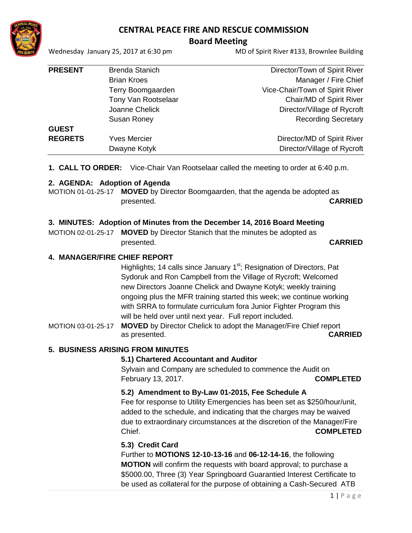

# **CENTRAL PEACE FIRE AND RESCUE COMMISSION**

# **Board Meeting**

Wednesday January 25, 2017 at 6:30 pm MD of Spirit River #133, Brownlee Building

| <b>PRESENT</b> | <b>Brenda Stanich</b> | Director/Town of Spirit River   |
|----------------|-----------------------|---------------------------------|
|                | <b>Brian Kroes</b>    | Manager / Fire Chief            |
|                | Terry Boomgaarden     | Vice-Chair/Town of Spirit River |
|                | Tony Van Rootselaar   | Chair/MD of Spirit River        |
|                | Joanne Chelick        | Director/Village of Rycroft     |
|                | <b>Susan Roney</b>    | <b>Recording Secretary</b>      |
| <b>GUEST</b>   |                       |                                 |
| <b>REGRETS</b> | <b>Yves Mercier</b>   | Director/MD of Spirit River     |
|                | Dwayne Kotyk          | Director/Village of Rycroft     |
|                |                       |                                 |

**1. CALL TO ORDER:** Vice-Chair Van Rootselaar called the meeting to order at 6:40 p.m.

# **2. AGENDA: Adoption of Agenda**

MOTION 01-01-25-17 **MOVED** by Director Boomgaarden, that the agenda be adopted as presented. **CARRIED**

# **3. MINUTES: Adoption of Minutes from the December 14, 2016 Board Meeting**

MOTION 02-01-25-17 **MOVED** by Director Stanich that the minutes be adopted as presented. **CARRIED**

# **4. MANAGER/FIRE CHIEF REPORT**

Highlights; 14 calls since January 1<sup>st</sup>; Resignation of Directors, Pat Sydoruk and Ron Campbell from the Village of Rycroft; Welcomed new Directors Joanne Chelick and Dwayne Kotyk; weekly training ongoing plus the MFR training started this week; we continue working with SRRA to formulate curriculum fora Junior Fighter Program this will be held over until next year. Full report included.

MOTION 03-01-25-17 **MOVED** by Director Chelick to adopt the Manager/Fire Chief report as presented. **CARRIED**

# **5. BUSINESS ARISING FROM MINUTES**

# **5.1) Chartered Accountant and Auditor**

Sylvain and Company are scheduled to commence the Audit on February 13, 2017. **COMPLETED**

# **5.2) Amendment to By-Law 01-2015, Fee Schedule A**

Fee for response to Utility Emergencies has been set as \$250/hour/unit, added to the schedule, and indicating that the charges may be waived due to extraordinary circumstances at the discretion of the Manager/Fire Chief. **COMPLETED**

# **5.3) Credit Card**

Further to **MOTIONS 12-10-13-16** and **06-12-14-16**, the following **MOTION** will confirm the requests with board approval; to purchase a \$5000.00, Three (3) Year Springboard Guarantied Interest Certificate to be used as collateral for the purpose of obtaining a Cash-Secured ATB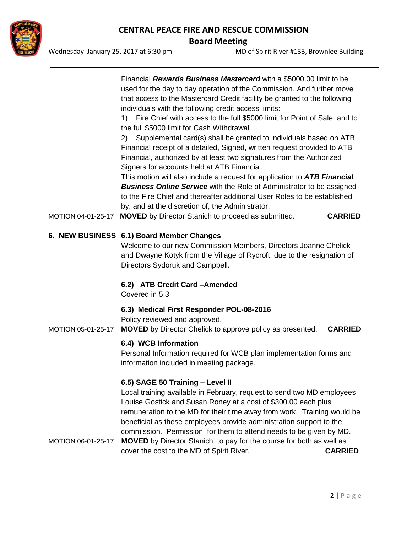

# **CENTRAL PEACE FIRE AND RESCUE COMMISSION Board Meeting**

Wednesday January 25, 2017 at 6:30 pm MD of Spirit River #133, Brownlee Building

Financial *Rewards Business Mastercard* with a \$5000.00 limit to be used for the day to day operation of the Commission. And further move that access to the Mastercard Credit facility be granted to the following individuals with the following credit access limits:

1) Fire Chief with access to the full \$5000 limit for Point of Sale, and to the full \$5000 limit for Cash Withdrawal

2) Supplemental card(s) shall be granted to individuals based on ATB Financial receipt of a detailed, Signed, written request provided to ATB Financial, authorized by at least two signatures from the Authorized Signers for accounts held at ATB Financial.

This motion will also include a request for application to *ATB Financial Business Online Service* with the Role of Administrator to be assigned to the Fire Chief and thereafter additional User Roles to be established by, and at the discretion of, the Administrator.

MOTION 04-01-25-17 **MOVED** by Director Stanich to proceed as submitted. **CARRIED**

# **6. NEW BUSINESS 6.1) Board Member Changes**

Welcome to our new Commission Members, Directors Joanne Chelick and Dwayne Kotyk from the Village of Rycroft, due to the resignation of Directors Sydoruk and Campbell.

# **6.2) ATB Credit Card –Amended**

Covered in 5.3

# **6.3) Medical First Responder POL-08-2016**

Policy reviewed and approved.

MOTION 05-01-25-17 **MOVED** by Director Chelick to approve policy as presented. **CARRIED**

# **6.4) WCB Information**

Personal Information required for WCB plan implementation forms and information included in meeting package.

# **6.5) SAGE 50 Training – Level II**

Local training available in February, request to send two MD employees Louise Gostick and Susan Roney at a cost of \$300.00 each plus remuneration to the MD for their time away from work. Training would be beneficial as these employees provide administration support to the commission. Permission for them to attend needs to be given by MD.

MOTION 06-01-25-17 **MOVED** by Director Stanich to pay for the course for both as well as cover the cost to the MD of Spirit River. **CARRIED**